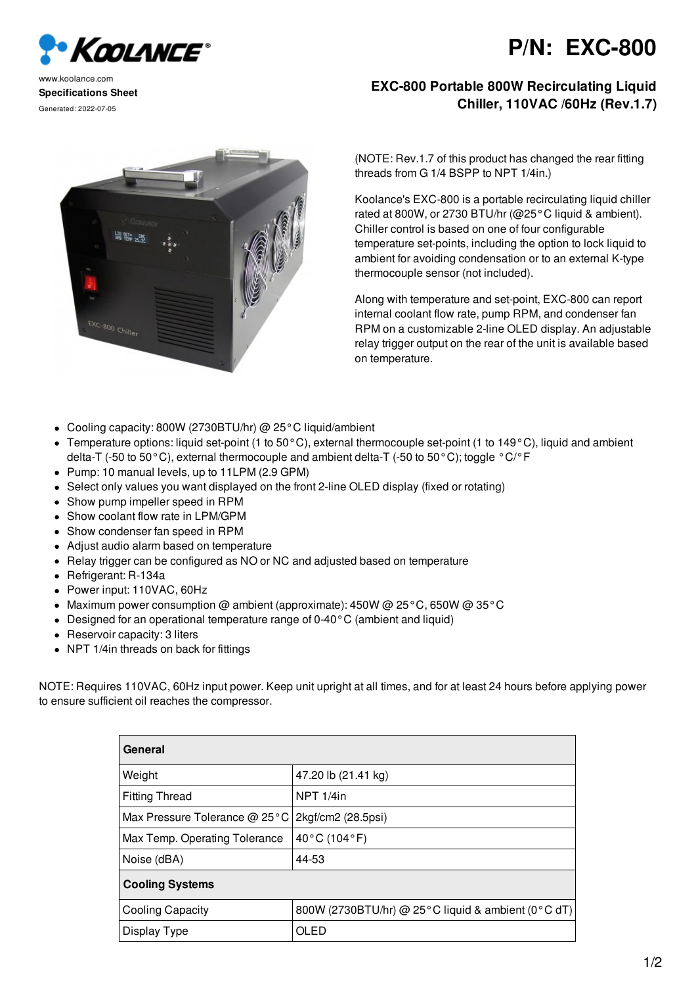

## **P/N: EXC-800**

www.koolance.com **Specifications Sheet** Generated: 2022-07-05

## **EXC-800 Portable 800W Recirculating Liquid Chiller, 110VAC /60Hz (Rev.1.7)**



(NOTE: Rev.1.7 of this product has changed the rear fitting threads from G 1/4 BSPP to NPT 1/4in.)

Koolance's EXC-800 is a portable recirculating liquid chiller rated at 800W, or 2730 BTU/hr ( $@25°C$  liquid & ambient). Chiller control is based on one of four configurable temperature set-points, including the option to lock liquid to ambient for avoiding condensation or to an external K-type thermocouple sensor (not included).

Along with temperature and set-point, EXC-800 can report internal coolant flow rate, pump RPM, and condenser fan RPM on a customizable 2-line OLED display. An adjustable relay trigger output on the rear of the unit is available based on temperature.

- Cooling capacity: 800W (2730BTU/hr) @ 25°C liquid/ambient
- Temperature options: liquid set-point (1 to 50°C), external thermocouple set-point (1 to 149°C), liquid and ambient delta-T (-50 to 50°C), external thermocouple and ambient delta-T (-50 to 50°C); toggle °C/°F
- Pump: 10 manual levels, up to 11LPM (2.9 GPM)
- Select only values you want displayed on the front 2-line OLED display (fixed or rotating)
- Show pump impeller speed in RPM  $\bullet$
- Show coolant flow rate in LPM/GPM
- $\bullet$ Show condenser fan speed in RPM
- Adjust audio alarm based on temperature
- Relay trigger can be configured as NO or NC and adjusted based on temperature
- Refrigerant: R-134a
- Power input: 110VAC, 60Hz
- Maximum power consumption @ ambient (approximate):  $450W$  @  $25^{\circ}$ C, 650W @  $35^{\circ}$ C
- Designed for an operational temperature range of 0-40°C (ambient and liquid)
- Reservoir capacity: 3 liters
- NPT 1/4in threads on back for fittings

NOTE: Requires 110VAC, 60Hz input power. Keep unit upright at all times, and for at least 24 hours before applying power to ensure sufficient oil reaches the compressor.

| General                                 |                                                    |
|-----------------------------------------|----------------------------------------------------|
| Weight                                  | 47.20 lb (21.41 kg)                                |
| <b>Fitting Thread</b>                   | NPT 1/4in                                          |
| Max Pressure Tolerance @ 25 $\degree$ C | 2kgf/cm2 (28.5psi)                                 |
| Max Temp. Operating Tolerance           | $40^{\circ}$ C (104 $^{\circ}$ F)                  |
| Noise (dBA)                             | 44-53                                              |
| <b>Cooling Systems</b>                  |                                                    |
| <b>Cooling Capacity</b>                 | 800W (2730BTU/hr) @ 25°C liquid & ambient (0°C dT) |
| Display Type                            | OLED                                               |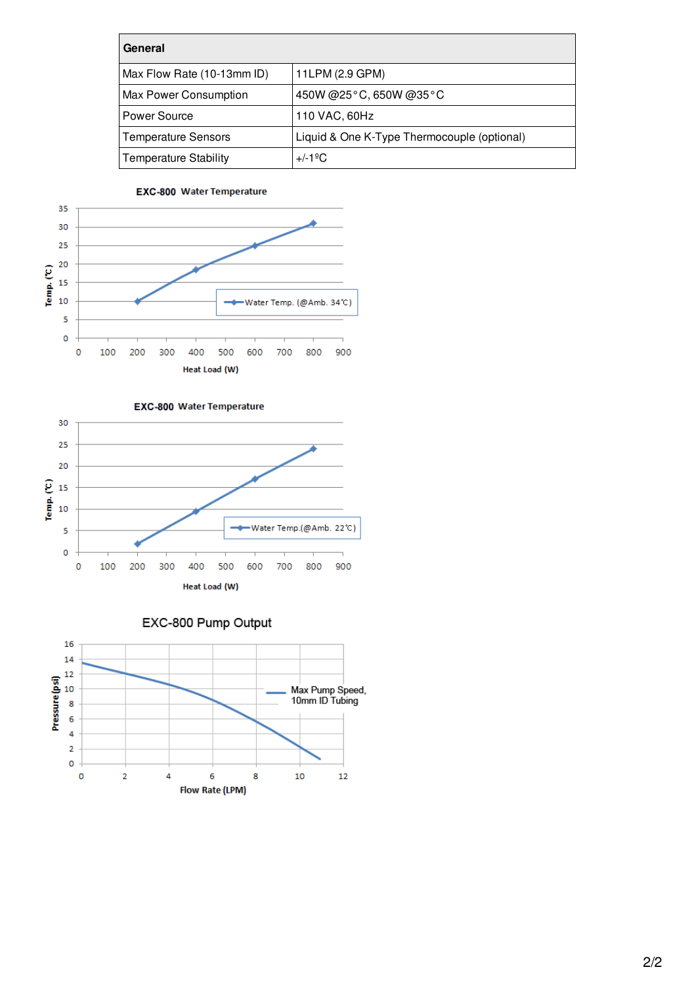| General                      |                                             |
|------------------------------|---------------------------------------------|
| Max Flow Rate (10-13mm ID)   | 11LPM (2.9 GPM)                             |
| Max Power Consumption        | 450W @25°C, 650W @35°C                      |
| Power Source                 | 110 VAC, 60Hz                               |
| <b>Temperature Sensors</b>   | Liquid & One K-Type Thermocouple (optional) |
| <b>Temperature Stability</b> | $+/-1$ <sup>o</sup> C                       |